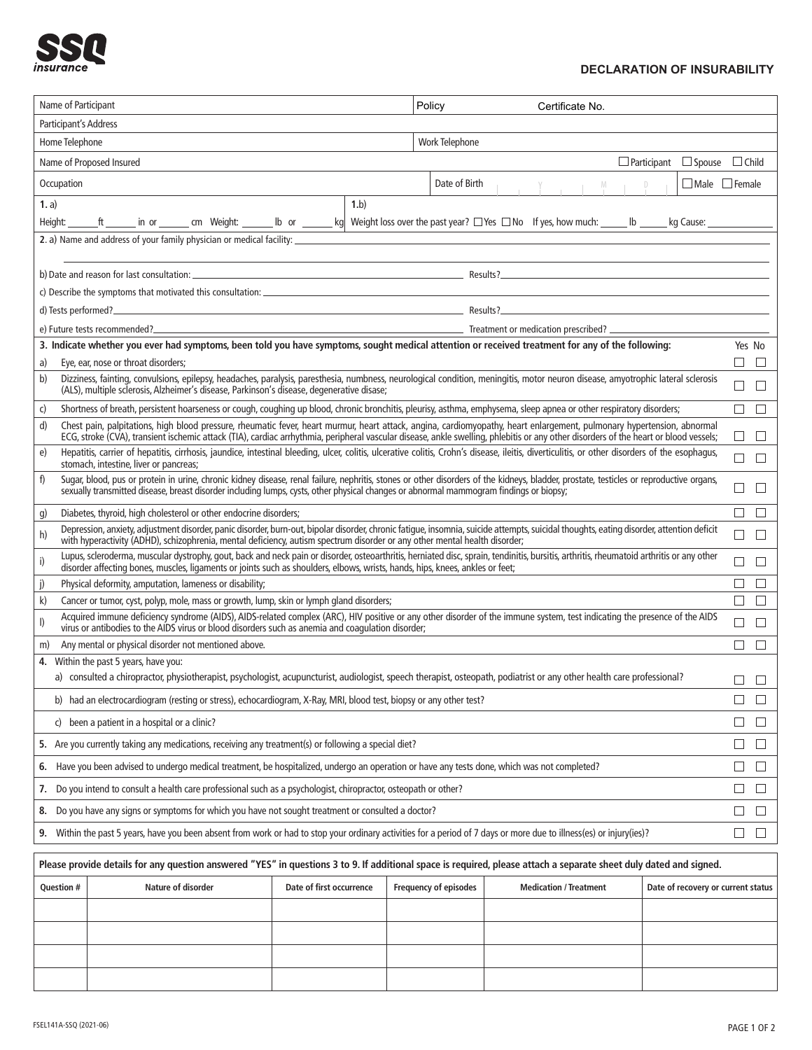

## **DECLARATION OF INSURABILITY**

| Name of Participant                                                                                                                                                                                                                                                                                                                                                                                                                                                         |                                                                                                                                                                                                                                                                                                                                                                       |                                                |                |  |                   | Policy<br>Certificate No.                              |                           |  |                  |                                    |              |  |
|-----------------------------------------------------------------------------------------------------------------------------------------------------------------------------------------------------------------------------------------------------------------------------------------------------------------------------------------------------------------------------------------------------------------------------------------------------------------------------|-----------------------------------------------------------------------------------------------------------------------------------------------------------------------------------------------------------------------------------------------------------------------------------------------------------------------------------------------------------------------|------------------------------------------------|----------------|--|-------------------|--------------------------------------------------------|---------------------------|--|------------------|------------------------------------|--------------|--|
| Participant's Address                                                                                                                                                                                                                                                                                                                                                                                                                                                       |                                                                                                                                                                                                                                                                                                                                                                       |                                                |                |  |                   |                                                        |                           |  |                  |                                    |              |  |
| Home Telephone                                                                                                                                                                                                                                                                                                                                                                                                                                                              |                                                                                                                                                                                                                                                                                                                                                                       |                                                | Work Telephone |  |                   |                                                        |                           |  |                  |                                    |              |  |
| $\Box$ Participant<br>$\Box$ Spouse<br>Name of Proposed Insured                                                                                                                                                                                                                                                                                                                                                                                                             |                                                                                                                                                                                                                                                                                                                                                                       |                                                |                |  |                   |                                                        |                           |  |                  | $\Box$ Child                       |              |  |
| Occupation                                                                                                                                                                                                                                                                                                                                                                                                                                                                  |                                                                                                                                                                                                                                                                                                                                                                       |                                                | Date of Birth  |  | $Y \qquad \qquad$ | D                                                      | $\Box$ Male $\Box$ Female |  |                  |                                    |              |  |
| 1. a)                                                                                                                                                                                                                                                                                                                                                                                                                                                                       | 1.b                                                                                                                                                                                                                                                                                                                                                                   |                                                |                |  |                   |                                                        |                           |  |                  |                                    |              |  |
| kg Weight loss over the past year? $\Box$ Yes $\Box$ No If yes, how much: _____<br>lb or<br>cm Weight:<br>kg Cause: __<br>Height:<br>in or<br>$\mathsf{lb}$ $\_\_$<br>2. a) Name and address of your family physician or medical facility:<br>the control of the control of the control of the control of the control of the control of the control of the control of the control of the control of the control of the control of the control of the control of the control |                                                                                                                                                                                                                                                                                                                                                                       |                                                |                |  |                   |                                                        |                           |  |                  |                                    |              |  |
|                                                                                                                                                                                                                                                                                                                                                                                                                                                                             |                                                                                                                                                                                                                                                                                                                                                                       |                                                |                |  |                   |                                                        |                           |  |                  |                                    |              |  |
|                                                                                                                                                                                                                                                                                                                                                                                                                                                                             |                                                                                                                                                                                                                                                                                                                                                                       |                                                |                |  |                   |                                                        |                           |  |                  |                                    |              |  |
| c) Describe the symptoms that motivated this consultation: <b>CONSIDENT CONSIDERED ASSESSMENT OF A SET AN ASSESSMENT OF A SET AN ASSESSMENT OF A SET AN ASSESSMENT OF A SET AND A SET AND A SET AND A SET AND A SET AND A SET AN</b>                                                                                                                                                                                                                                        |                                                                                                                                                                                                                                                                                                                                                                       |                                                |                |  |                   |                                                        |                           |  |                  |                                    |              |  |
| <u> 1989 - Johann Stoff, Amerikaansk politiker († 1908)</u><br>d) Tests performed?                                                                                                                                                                                                                                                                                                                                                                                          |                                                                                                                                                                                                                                                                                                                                                                       |                                                |                |  |                   |                                                        |                           |  |                  |                                    |              |  |
| <b>Example 2018</b> Treatment or medication prescribed? <b>All the Contract of Science 2018</b> Treatment or medication prescribed?<br>e) Future tests recommended?                                                                                                                                                                                                                                                                                                         |                                                                                                                                                                                                                                                                                                                                                                       |                                                |                |  |                   |                                                        |                           |  |                  |                                    |              |  |
| 3. Indicate whether you ever had symptoms, been told you have symptoms, sought medical attention or received treatment for any of the following:                                                                                                                                                                                                                                                                                                                            |                                                                                                                                                                                                                                                                                                                                                                       |                                                |                |  |                   |                                                        |                           |  | Yes No           |                                    |              |  |
| Eye, ear, nose or throat disorders;<br>a)<br>Dizziness, fainting, convulsions, epilepsy, headaches, paralysis, paresthesia, numbness, neurological condition, meningitis, motor neuron disease, amyotrophic lateral sclerosis                                                                                                                                                                                                                                               |                                                                                                                                                                                                                                                                                                                                                                       |                                                |                |  |                   |                                                        |                           |  |                  | П<br>П                             |              |  |
| b)                                                                                                                                                                                                                                                                                                                                                                                                                                                                          | (ALS), multiple sclerosis, Alzheimer's disease, Parkinson's disease, degenerative disase:                                                                                                                                                                                                                                                                             |                                                |                |  |                   |                                                        |                           |  |                  |                                    | П<br>$\perp$ |  |
| c)                                                                                                                                                                                                                                                                                                                                                                                                                                                                          | Shortness of breath, persistent hoarseness or cough, coughing up blood, chronic bronchitis, pleurisy, asthma, emphysema, sleep apnea or other respiratory disorders;                                                                                                                                                                                                  |                                                |                |  |                   |                                                        |                           |  |                  |                                    | П<br>П       |  |
|                                                                                                                                                                                                                                                                                                                                                                                                                                                                             | Chest pain, palpitations, high blood pressure, rheumatic fever, heart murmur, heart attack, angina, cardiomyopathy, heart enlargement, pulmonary hypertension, abnormal<br>d)<br>ECG, stroke (CVA), transient ischemic attack (TIA), cardiac arrhythmia, peripheral vascular disease, ankle swelling, phiebitis or any other disorders of the heart or blood vessels; |                                                |                |  |                   |                                                        |                           |  |                  | $\Box$<br>⊔                        |              |  |
| e)                                                                                                                                                                                                                                                                                                                                                                                                                                                                          | Hepatitis, carrier of hepatitis, cirrhosis, jaundice, intestinal bleeding, ulcer, colitis, ulcerative colitis, Crohn's disease, ileitis, diverticulitis, or other disorders of the esophagus,<br>stomach, intestine, liver or pancreas;                                                                                                                               |                                                |                |  |                   |                                                        |                           |  |                  | П<br>$\Box$                        |              |  |
| f)                                                                                                                                                                                                                                                                                                                                                                                                                                                                          | Sugar, blood, pus or protein in urine, chronic kidney disease, renal failure, nephritis, stones or other disorders of the kidneys, bladder, prostate, testicles or reproductive organs,<br>sexually transmitted disease, breast disorder including lumps, cysts, other physical changes or abnormal mammogram findings or biopsy;                                     |                                                |                |  |                   |                                                        |                           |  |                  | $\Box$                             |              |  |
| g)                                                                                                                                                                                                                                                                                                                                                                                                                                                                          | Diabetes, thyroid, high cholesterol or other endocrine disorders;                                                                                                                                                                                                                                                                                                     |                                                |                |  |                   |                                                        |                           |  |                  | Г                                  |              |  |
| h)                                                                                                                                                                                                                                                                                                                                                                                                                                                                          | Depression, anxiety, adjustment disorder, panic disorder, burn-out, bipolar disorder, chronic fatigue, insomnia, suicide attempts, suicidal thoughts, eating disorder, attention deficit<br>with hyperactivity (ADHD), schizophrenia, mental deficiency, autism spectrum disorder or any other mental health disorder;                                                |                                                |                |  |                   |                                                        |                           |  |                  | г<br>П                             |              |  |
| i)                                                                                                                                                                                                                                                                                                                                                                                                                                                                          | Lupus, scleroderma, muscular dystrophy, gout, back and neck pain or disorder, osteoarthritis, herniated disc, sprain, tendinitis, bursitis, arthritis, rheumatoid arthritis or any other<br>disorder affecting bones, muscles, ligaments or joints such as shoulders, elbows, wrists, hands, hips, knees, ankles or feet;                                             |                                                |                |  |                   |                                                        |                           |  |                  | □<br>□                             |              |  |
| j)<br>Physical deformity, amputation, lameness or disability;                                                                                                                                                                                                                                                                                                                                                                                                               |                                                                                                                                                                                                                                                                                                                                                                       |                                                |                |  |                   |                                                        |                           |  |                  |                                    |              |  |
| k)<br>Cancer or tumor, cyst, polyp, mole, mass or growth, lump, skin or lymph gland disorders;                                                                                                                                                                                                                                                                                                                                                                              |                                                                                                                                                                                                                                                                                                                                                                       |                                                |                |  |                   |                                                        |                           |  | П<br>П           |                                    |              |  |
| Acquired immune deficiency syndrome (AIDS), AIDS-related complex (ARC), HIV positive or any other disorder of the immune system, test indicating the presence of the AIDS<br>I)<br>virus or antibodies to the AIDS virus or blood disorders such as anemia and coagulation disorder;                                                                                                                                                                                        |                                                                                                                                                                                                                                                                                                                                                                       |                                                |                |  |                   |                                                        |                           |  | П                |                                    |              |  |
| Any mental or physical disorder not mentioned above.<br>m)                                                                                                                                                                                                                                                                                                                                                                                                                  |                                                                                                                                                                                                                                                                                                                                                                       |                                                |                |  |                   |                                                        |                           |  | П<br>П           |                                    |              |  |
| Within the past 5 years, have you:<br>4.<br>a) consulted a chiropractor, physiotherapist, psychologist, acupuncturist, audiologist, speech therapist, osteopath, podiatrist or any other health care professional?                                                                                                                                                                                                                                                          |                                                                                                                                                                                                                                                                                                                                                                       |                                                |                |  |                   |                                                        |                           |  |                  |                                    |              |  |
|                                                                                                                                                                                                                                                                                                                                                                                                                                                                             |                                                                                                                                                                                                                                                                                                                                                                       |                                                |                |  |                   |                                                        |                           |  |                  |                                    |              |  |
| b) had an electrocardiogram (resting or stress), echocardiogram, X-Ray, MRI, blood test, biopsy or any other test?                                                                                                                                                                                                                                                                                                                                                          |                                                                                                                                                                                                                                                                                                                                                                       |                                                |                |  |                   |                                                        |                           |  | П<br>П           |                                    |              |  |
| c) been a patient in a hospital or a clinic?                                                                                                                                                                                                                                                                                                                                                                                                                                |                                                                                                                                                                                                                                                                                                                                                                       |                                                |                |  |                   |                                                        |                           |  | $\Box$<br>$\Box$ |                                    |              |  |
| 5. Are you currently taking any medications, receiving any treatment(s) or following a special diet?                                                                                                                                                                                                                                                                                                                                                                        |                                                                                                                                                                                                                                                                                                                                                                       |                                                |                |  |                   |                                                        |                           |  | □<br>$\Box$      |                                    |              |  |
|                                                                                                                                                                                                                                                                                                                                                                                                                                                                             | 6. Have you been advised to undergo medical treatment, be hospitalized, undergo an operation or have any tests done, which was not completed?                                                                                                                                                                                                                         |                                                |                |  |                   |                                                        |                           |  |                  | $\Box$<br>$\perp$                  |              |  |
| 7. Do you intend to consult a health care professional such as a psychologist, chiropractor, osteopath or other?                                                                                                                                                                                                                                                                                                                                                            |                                                                                                                                                                                                                                                                                                                                                                       |                                                |                |  |                   |                                                        |                           |  | □<br>$\Box$      |                                    |              |  |
| 8. Do you have any signs or symptoms for which you have not sought treatment or consulted a doctor?                                                                                                                                                                                                                                                                                                                                                                         |                                                                                                                                                                                                                                                                                                                                                                       |                                                |                |  |                   |                                                        |                           |  | $\Box$<br>$\Box$ |                                    |              |  |
| 9. Within the past 5 years, have you been absent from work or had to stop your ordinary activities for a period of 7 days or more due to illness(es) or injury(ies)?                                                                                                                                                                                                                                                                                                        |                                                                                                                                                                                                                                                                                                                                                                       |                                                |                |  |                   |                                                        |                           |  | □<br>□           |                                    |              |  |
| Please provide details for any question answered "YES" in questions 3 to 9. If additional space is required, please attach a separate sheet duly dated and signed.                                                                                                                                                                                                                                                                                                          |                                                                                                                                                                                                                                                                                                                                                                       |                                                |                |  |                   |                                                        |                           |  |                  |                                    |              |  |
| <b>Question #</b>                                                                                                                                                                                                                                                                                                                                                                                                                                                           |                                                                                                                                                                                                                                                                                                                                                                       | Nature of disorder<br>Date of first occurrence |                |  |                   | Frequency of episodes<br><b>Medication / Treatment</b> |                           |  |                  | Date of recovery or current status |              |  |
|                                                                                                                                                                                                                                                                                                                                                                                                                                                                             |                                                                                                                                                                                                                                                                                                                                                                       |                                                |                |  |                   |                                                        |                           |  |                  |                                    |              |  |
|                                                                                                                                                                                                                                                                                                                                                                                                                                                                             |                                                                                                                                                                                                                                                                                                                                                                       |                                                |                |  |                   |                                                        |                           |  |                  |                                    |              |  |
|                                                                                                                                                                                                                                                                                                                                                                                                                                                                             |                                                                                                                                                                                                                                                                                                                                                                       |                                                |                |  |                   |                                                        |                           |  |                  |                                    |              |  |